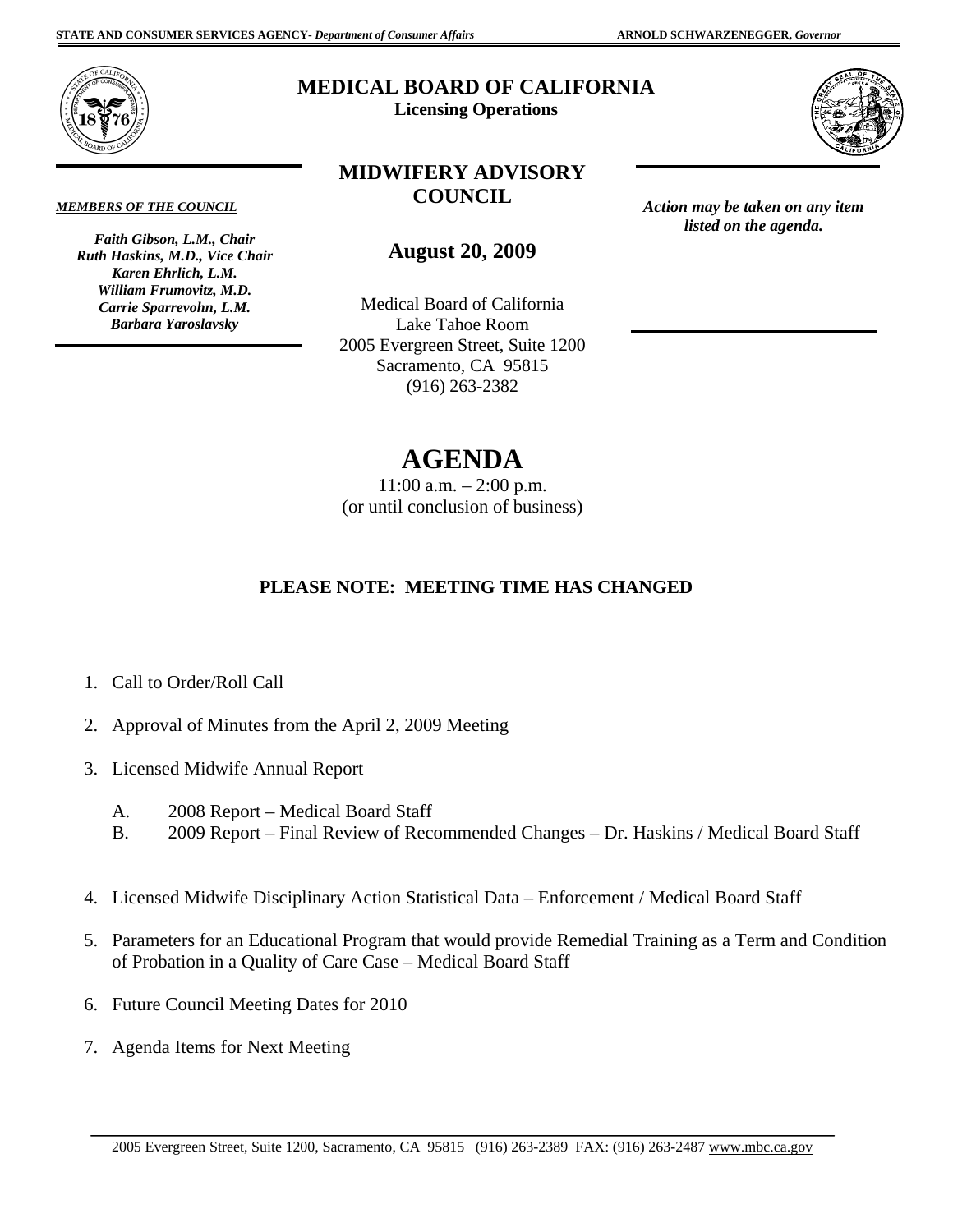*Action may be taken on any item listed on the agenda.* 



# **MEDICAL BOARD OF CALIFORNIA**

**Licensing Operations** 

### *MEMBERS OF THE COUNCIL*

*Faith Gibson, L.M., Chair Ruth Haskins, M.D., Vice Chair Karen Ehrlich, L.M. William Frumovitz, M.D. Carrie Sparrevohn, L.M. Barbara Yaroslavsky* 

# **MIDWIFERY ADVISORY COUNCIL**

**August 20, 2009** 

Medical Board of California Lake Tahoe Room 2005 Evergreen Street, Suite 1200 Sacramento, CA 95815 (916) 263-2382

# **AGENDA**

11:00 a.m. – 2:00 p.m. (or until conclusion of business)

## **PLEASE NOTE: MEETING TIME HAS CHANGED**

- 1. Call to Order/Roll Call
- 2. Approval of Minutes from the April 2, 2009 Meeting
- 3. Licensed Midwife Annual Report
	- A. 2008 Report Medical Board Staff
	- B. 2009 Report Final Review of Recommended Changes Dr. Haskins / Medical Board Staff
- 4. Licensed Midwife Disciplinary Action Statistical Data Enforcement / Medical Board Staff
- 5. Parameters for an Educational Program that would provide Remedial Training as a Term and Condition of Probation in a Quality of Care Case – Medical Board Staff
- 6. Future Council Meeting Dates for 2010
- 7. Agenda Items for Next Meeting